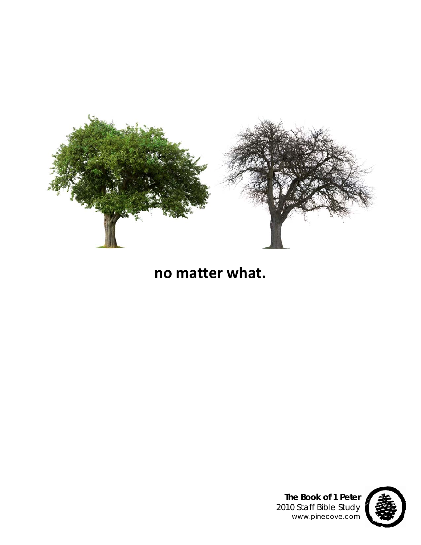

# **no matter what.**



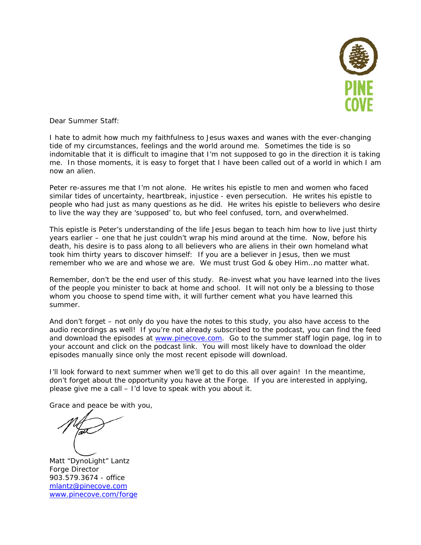

Dear Summer Staff:

I hate to admit how much my faithfulness to Jesus waxes and wanes with the ever-changing tide of my circumstances, feelings and the world around me. Sometimes the tide is so indomitable that it is difficult to imagine that I'm not supposed to go in the direction it is taking me. In those moments, it is easy to forget that I have been called out of a world in which I am now an alien.

Peter re-assures me that I'm not alone. He writes his epistle to men and women who faced similar tides of uncertainty, heartbreak, injustice - even persecution. He writes his epistle to people who had just as many questions as he did. He writes his epistle to believers who desire to live the way they are 'supposed' to, but who feel confused, torn, and overwhelmed.

This epistle is Peter's understanding of the life Jesus began to teach him how to live just thirty years earlier – one that he just couldn't wrap his mind around at the time. Now, before his death, his desire is to pass along to all believers who are aliens in their own homeland what took him thirty years to discover himself: If you are a believer in Jesus, then we must remember who we are and whose we are. We must trust God & obey Him…*no matter what*.

Remember, don't be the end user of this study. Re-invest what you have learned into the lives of the people you minister to back at home and school. It will not only be a blessing to those whom you choose to spend time with, it will further cement what you have learned this summer.

And don't forget – not only do you have the notes to this study, you also have access to the audio recordings as well! If you're not already subscribed to the podcast, you can find the feed and download the episodes at www.pinecove.com. Go to the summer staff login page, log in to your account and click on the podcast link. You will most likely have to download the older episodes manually since only the most recent episode will download.

I'll look forward to next summer when we'll get to do this all over again! In the meantime, don't forget about the opportunity you have at the Forge. If you are interested in applying, please give me a call – I'd love to speak with you about it.

Grace and peace be with you,

Matt "DynoLight" Lantz Forge Director 903.579.3674 - office mlantz@pinecove.com www.pinecove.com/forge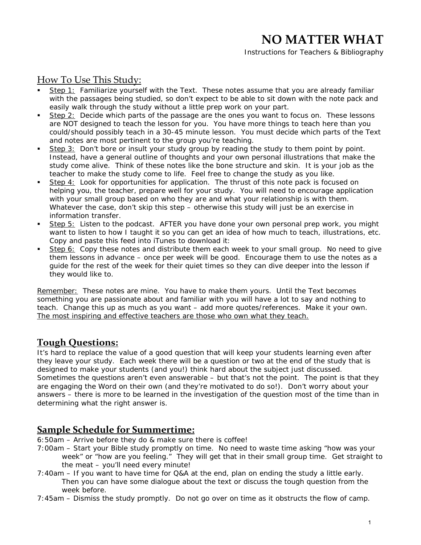*Instructions for Teachers & Bibliography*

## How To Use This Study:

- Step 1: Familiarize yourself with the Text. These notes assume that you are already familiar with the passages being studied, so don't expect to be able to sit down with the note pack and easily walk through the study without a little prep work on your part.
- Step 2: Decide which parts of the passage are the ones you want to focus on. These lessons are NOT designed to teach the lesson for you. You have more things to teach here than you could/should possibly teach in a 30-45 minute lesson. You must decide which parts of the Text and notes are most pertinent to the group you're teaching.
- Step 3: Don't bore or insult your study group by reading the study to them point by point. Instead, have a general outline of thoughts and your own personal illustrations that make the study come alive. Think of these notes like the bone structure and skin. It is your job as the teacher to make the study come to life. Feel free to change the study as you like.
- Step 4: Look for opportunities for application. The thrust of this note pack is focused on helping you, the teacher, prepare well for your study. You will need to encourage application with your small group based on who they are and what your relationship is with them. Whatever the case, don't skip this step – otherwise this study will just be an exercise in information transfer.
- Step 5: Listen to the podcast. AFTER you have done your own personal prep work, you might want to listen to how I taught it so you can get an idea of how much to teach, illustrations, etc. Copy and paste this feed into iTunes to download it:
- Step 6: Copy these notes and distribute them each week to your small group. No need to give them lessons in advance – once per week will be good. Encourage them to use the notes as a guide for the rest of the week for their quiet times so they can dive deeper into the lesson if they would like to.

Remember: These notes are *mine*. You have to make them *yours*. Until the Text becomes something you are passionate about and familiar with you will have a lot to say and nothing to teach. Change this up as much as you want – add more quotes/references. *Make it your own.* The most inspiring and effective teachers are those who own what they teach.

## **Tough Questions:**

It's hard to replace the value of a good question that will keep your students learning even after they leave your study. Each week there will be a question or two at the end of the study that is designed to make your students (and you!) think hard about the subject just discussed. Sometimes the questions aren't even answerable – but that's not the point. The point is that they are engaging the Word on their own (and they're motivated to do so!). Don't worry about your answers – there is more to be learned in the investigation of the question most of the time than in determining what the right answer is.

## **Sample Schedule for Summertime:**

- 6:50am Arrive before they do & make sure there is coffee!
- 7:00am Start your Bible study promptly on time. No need to waste time asking "how was your week" or "how are you feeling." They will get that in their small group time. Get straight to the meat – you'll need every minute!
- 7:40am If you want to have time for Q&A at the end, plan on ending the study a little early. Then you can have some dialogue about the text or discuss the tough question from the week before.
- 7:45am Dismiss the study *promptly.* Do not go over on time as it obstructs the flow of camp.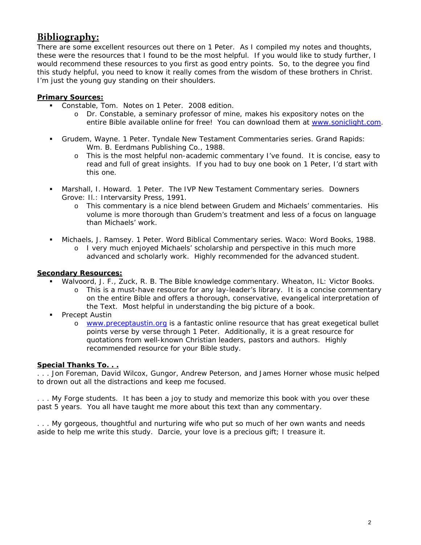## **Bibliography:**

There are some excellent resources out there on 1 Peter. As I compiled my notes and thoughts, these were the resources that I found to be the most helpful. If you would like to study further, I would recommend these resources to you first as good entry points. So, to the degree you find this study helpful, you need to know it really comes from the wisdom of these brothers in Christ. I'm just the young guy standing on their shoulders.

### **Primary Sources:**

- Constable, Tom. *Notes on 1 Peter*. 2008 edition.
	- o Dr. Constable, a seminary professor of mine, makes his expository notes on the entire Bible available online for free! You can download them at www.soniclight.com.
- Grudem, Wayne. *1 Peter*. Tyndale New Testament Commentaries series. Grand Rapids: Wm. B. Eerdmans Publishing Co., 1988.
	- o This is the most helpful non-academic commentary I've found. It is concise, easy to read and full of great insights. If you had to buy one book on 1 Peter, I'd start with this one.
- Marshall, I. Howard. *1 Peter*. The IVP New Testament Commentary series. Downers Grove: Il.: Intervarsity Press, 1991.
	- o This commentary is a nice blend between Grudem and Michaels' commentaries. His volume is more thorough than Grudem's treatment and less of a focus on language than Michaels' work.
- Michaels, J. Ramsey. *1 Peter*. Word Biblical Commentary series. Waco: Word Books, 1988.
	- o I very much enjoyed Michaels' scholarship and perspective in this much more advanced and scholarly work. Highly recommended for the advanced student.

### **Secondary Resources:**

- Walvoord, J. F., Zuck, R. B. *The Bible knowledge commentary*. Wheaton, IL: Victor Books.
	- o This is a must-have resource for any lay-leader's library. It is a concise commentary on the entire Bible and offers a thorough, conservative, evangelical interpretation of the Text. Most helpful in understanding the big picture of a book.
- Precept Austin
	- o www.preceptaustin.org is a fantastic online resource that has great exegetical bullet points verse by verse through 1 Peter. Additionally, it is a great resource for quotations from well-known Christian leaders, pastors and authors. Highly recommended resource for your Bible study.

### **Special Thanks To. . .**

. . . Jon Foreman, David Wilcox, Gungor, Andrew Peterson, and James Horner whose music helped to drown out all the distractions and keep me focused.

. . . My Forge students. It has been a joy to study and memorize this book with you over these past 5 years. You all have taught me more about this text than any commentary.

. . . My gorgeous, thoughtful and nurturing wife who put so much of her own wants and needs aside to help me write this study. Darcie, your love is a precious gift; I treasure it.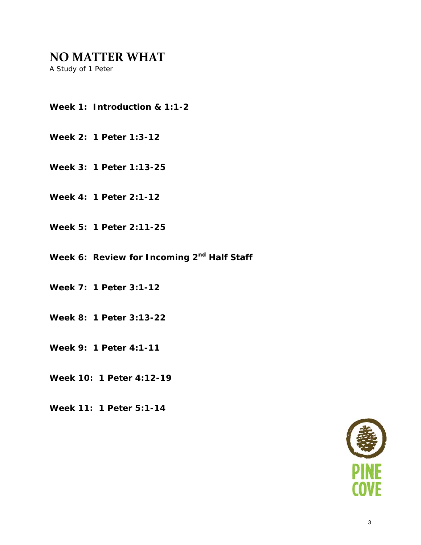*A Study of 1 Peter* 

- **Week 1: Introduction & 1:1-2**
- **Week 2: 1 Peter 1:3-12**
- **Week 3: 1 Peter 1:13-25**
- **Week 4: 1 Peter 2:1-12**
- **Week 5: 1 Peter 2:11-25**
- Week 6: Review for Incoming 2<sup>nd</sup> Half Staff
- **Week 7: 1 Peter 3:1-12**
- **Week 8: 1 Peter 3:13-22**
- **Week 9: 1 Peter 4:1-11**
- **Week 10: 1 Peter 4:12-19**
- **Week 11: 1 Peter 5:1-14**

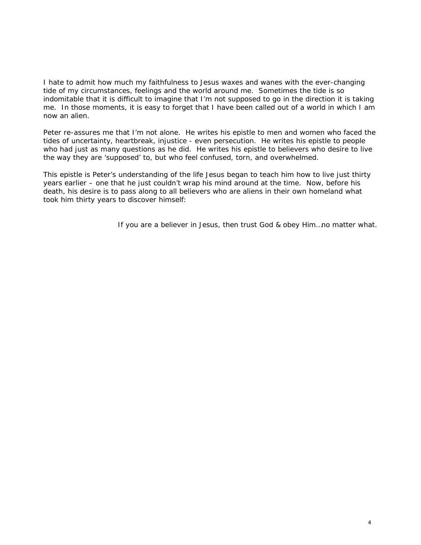I hate to admit how much my faithfulness to Jesus waxes and wanes with the ever-changing tide of my circumstances, feelings and the world around me. Sometimes the tide is so indomitable that it is difficult to imagine that I'm not supposed to go in the direction it is taking me. In those moments, it is easy to forget that I have been called out of a world in which I am now an alien.

Peter re-assures me that I'm not alone. He writes his epistle to men and women who faced the tides of uncertainty, heartbreak, injustice - even persecution. He writes his epistle to people who had just as many questions as he did. He writes his epistle to believers who desire to live the way they are 'supposed' to, but who feel confused, torn, and overwhelmed.

This epistle is Peter's understanding of the life Jesus began to teach him how to live just thirty years earlier – one that he just couldn't wrap his mind around at the time. Now, before his death, his desire is to pass along to all believers who are aliens in their own homeland what took him thirty years to discover himself:

If you are a believer in Jesus, then trust God & obey Him…*no matter what*.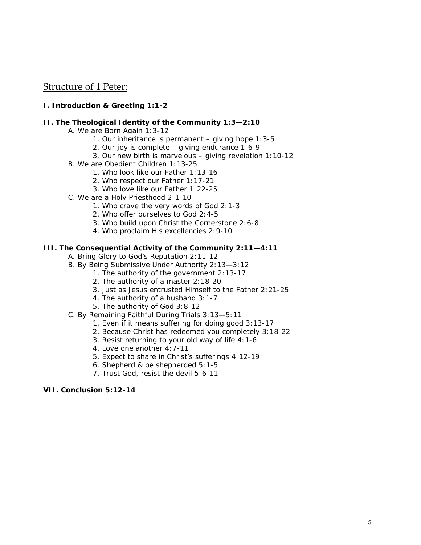## Structure of 1 Peter:

#### **I. Introduction & Greeting 1:1-2**

#### **II. The Theological Identity of the Community 1:3—2:10**

- A. We are Born Again 1:3-12
	- 1. Our inheritance is permanent giving hope 1:3-5
	- 2. Our joy is complete giving endurance 1:6-9
	- 3. Our new birth is marvelous giving revelation 1:10-12
- B. We are Obedient Children 1:13-25
	- 1. Who look like our Father 1:13-16
	- 2. Who respect our Father 1:17-21
	- 3. Who love like our Father 1:22-25
- C. We are a Holy Priesthood 2:1-10
	- 1. Who crave the very words of God 2:1-3
	- 2. Who offer ourselves to God 2:4-5
	- 3. Who build upon Christ the Cornerstone 2:6-8
	- 4. Who proclaim His excellencies 2:9-10

#### **III. The Consequential Activity of the Community 2:11—4:11**

- A. Bring Glory to God's Reputation 2:11-12
- B. By Being Submissive Under Authority 2:13—3:12
	- 1. The authority of the government 2:13-17
	- 2. The authority of a master 2:18-20
	- 3. Just as Jesus entrusted Himself to the Father 2:21-25
	- 4. The authority of a husband 3:1-7
	- 5. The authority of God 3:8-12
- C. By Remaining Faithful During Trials 3:13—5:11
	- 1. Even if it means suffering for doing good 3:13-17
	- 2. Because Christ has redeemed you completely 3:18-22
	- 3. Resist returning to your old way of life 4:1-6
	- 4. Love one another 4:7-11
	- 5. Expect to share in Christ's sufferings 4:12-19
	- 6. Shepherd & be shepherded 5:1-5
	- 7. Trust God, resist the devil 5:6-11

#### **VII. Conclusion 5:12-14**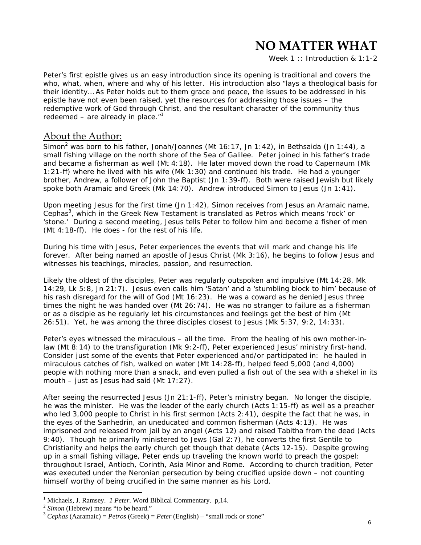Week 1 :: *Introduction & 1:1-2*

Peter's first epistle gives us an easy introduction since its opening is traditional and covers the who, what, when, where and why of his letter. His introduction also "lays a theological basis for their identity… As Peter holds out to them grace and peace, the issues to be addressed in his epistle have not even been raised, yet the resources for addressing those issues – the redemptive work of God through Christ, and the resultant character of the community thus redeemed – are already in place. $1$ <sup>1</sup>

## About the Author:

Simon<sup>2</sup> was born to his father, Jonah/Joannes (Mt 16:17, Jn 1:42), in Bethsaida (Jn 1:44), a small fishing village on the north shore of the Sea of Galilee. Peter joined in his father's trade and became a fisherman as well (Mt 4:18). He later moved down the road to Capernaum (Mk 1:21-ff) where he lived with his wife (Mk 1:30) and continued his trade. He had a younger brother, Andrew, a follower of John the Baptist (Jn 1:39-ff). Both were raised Jewish but likely spoke both Aramaic and Greek (Mk 14:70). Andrew introduced Simon to Jesus (Jn 1:41).

Upon meeting Jesus for the first time (Jn 1:42), Simon receives from Jesus an Aramaic name, *Cephas3* , which in the Greek New Testament is translated as *Petros* which means 'rock' or 'stone.' During a second meeting, Jesus tells Peter to follow him and become a fisher of men (Mt 4:18-ff). He does - for the rest of his life.

During his time with Jesus, Peter experiences the events that will mark and change his life forever. After being named an apostle of Jesus Christ (Mk 3:16), he begins to follow Jesus and witnesses his teachings, miracles, passion, and resurrection.

Likely the oldest of the disciples, Peter was regularly outspoken and impulsive (Mt 14:28, Mk 14:29, Lk 5:8, Jn 21:7). Jesus even calls him 'Satan' and a 'stumbling block to him' because of his rash disregard for the will of God (Mt 16:23). He was a coward as he denied Jesus three times the night he was handed over (Mt 26:74). He was no stranger to failure as a fisherman or as a disciple as he regularly let his circumstances and feelings get the best of him (Mt 26:51). Yet, he was among the three disciples closest to Jesus (Mk 5:37, 9:2, 14:33).

Peter's eyes witnessed the miraculous – all the time. From the healing of his own mother-inlaw (Mt 8:14) to the transfiguration (Mk 9:2-ff), Peter experienced Jesus' ministry first-hand. Consider just some of the events that Peter experienced and/or participated in: he hauled in miraculous catches of fish, walked on water (Mt 14:28-ff), helped feed 5,000 (and 4,000) people with nothing more than a snack, and even pulled a fish out of the sea with a shekel in its mouth – just as Jesus had said (Mt 17:27).

After seeing the resurrected Jesus (Jn 21:1-ff), Peter's ministry began. No longer the disciple, he was the minister. He was the leader of the early church (Acts 1:15-ff) as well as a preacher who led 3,000 people to Christ in his first sermon (Acts 2:41), despite the fact that he was, in the eyes of the Sanhedrin, an uneducated and common fisherman (Acts 4:13). He was imprisoned and released from jail by an angel (Acts 12) and raised Tabitha from the dead (Acts 9:40). Though he primarily ministered to Jews (Gal 2:7), he converts the first Gentile to Christianity and helps the early church get though that debate (Acts 12-15). Despite growing up in a small fishing village, Peter ends up traveling the known world to preach the gospel: throughout Israel, Antioch, Corinth, Asia Minor and Rome. According to church tradition, Peter was executed under the Neronian persecution by being crucified upside down – not counting himself worthy of being crucified in the same manner as his Lord.

<sup>&</sup>lt;sup>1</sup> Michaels, J. Ramsey. *1 Peter*. Word Biblical Commentary. p, 14.

<sup>&</sup>lt;sup>2</sup> Simon (Hebrew) means "to be heard."<br><sup>3</sup> *Cephas* (Aaramaic) = *Petros* (Greek) = *Peter* (English) – "small rock or stone"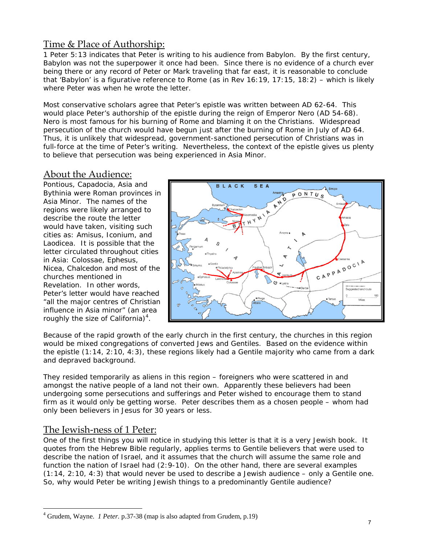## Time & Place of Authorship:

1 Peter 5:13 indicates that Peter is writing to his audience from Babylon. By the first century, Babylon was not the superpower it once had been. Since there is no evidence of a church ever being there or any record of Peter or Mark traveling that far east, it is reasonable to conclude that 'Babylon' is a figurative reference to Rome (as in Rev 16:19, 17:15, 18:2) – which is likely where Peter was when he wrote the letter.

Most conservative scholars agree that Peter's epistle was written between AD 62-64. This would place Peter's authorship of the epistle during the reign of Emperor Nero (AD 54-68). Nero is most famous for his burning of Rome and blaming it on the Christians. Widespread persecution of the church would have begun just after the burning of Rome in July of AD 64. Thus, it is unlikely that widespread, government-sanctioned persecution of Christians was in full-force at the time of Peter's writing. Nevertheless, the context of the epistle gives us plenty to believe that persecution was being experienced in Asia Minor.

## About the Audience:

Pontious, Capadocia, Asia and Bythinia were Roman provinces in Asia Minor. The names of the regions were likely arranged to describe the route the letter would have taken, visiting such cities as: Amisus, Iconium, and Laodicea. It is possible that the letter circulated throughout cities in Asia: Colossae, Ephesus, Nicea, Chalcedon and most of the churches mentioned in Revelation. In other words, Peter's letter would have reached "all the major centres of Christian influence in Asia minor" (an area roughly the size of California) $4$ .



Because of the rapid growth of the early church in the first century, the churches in this region would be mixed congregations of converted Jews and Gentiles. Based on the evidence within the epistle (1:14, 2:10, 4:3), these regions likely had a Gentile majority who came from a dark and depraved background.

They resided temporarily as aliens in this region – foreigners who were scattered in and amongst the native people of a land not their own. Apparently these believers had been undergoing some persecutions and sufferings and Peter wished to encourage them to stand firm as it would only be getting worse. Peter describes them as a chosen people – whom had only been believers in Jesus for 30 years or less.

## The Jewish-ness of 1 Peter:

 $\overline{a}$ 

One of the first things you will notice in studying this letter is that it is a very Jewish book. It quotes from the Hebrew Bible regularly, applies terms to Gentile believers that were used to describe the nation of Israel, and it assumes that the church will assume the same role and function the nation of Israel had (2:9-10). On the other hand, there are several examples  $(1:14, 2:10, 4:3)$  that would never be used to describe a Jewish audience – only a Gentile one. So, why would Peter be writing Jewish things to a predominantly Gentile audience?

<sup>4</sup> Grudem, Wayne. *1 Peter.* p.37-38 (map is also adapted from Grudem, p.19)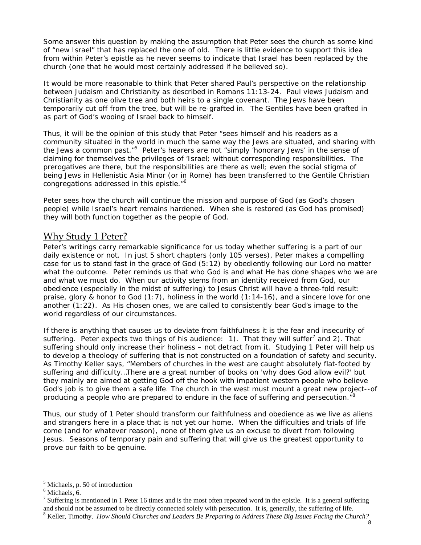Some answer this question by making the assumption that Peter sees the church as some kind of "new Israel" that has replaced the one of old. There is little evidence to support this idea from within Peter's epistle as he never seems to indicate that Israel has been replaced by the church (one that he would most certainly addressed if he believed so).

It would be more reasonable to think that Peter shared Paul's perspective on the relationship between Judaism and Christianity as described in Romans 11:13-24. Paul views Judaism and Christianity as one olive tree and both heirs to a single covenant. The Jews have been temporarily cut off from the tree, but will be re-grafted in. The Gentiles have been grafted in as part of God's wooing of Israel back to himself.

Thus, it will be the opinion of this study that Peter "sees himself and his readers as a community situated in the world in much the same way the Jews are situated, and sharing with the Jews a common past."<sup>5</sup> Peter's hearers are not "simply 'honorary Jews' in the sense of claiming for themselves the privileges of 'Israel; without corresponding responsibilities. The prerogatives are there, but the responsibilities are there as well; even the social stigma of being Jews in Hellenistic Asia Minor (or in Rome) has been transferred to the Gentile Christian congregations addressed in this epistle."6

Peter sees how the church will continue the mission and purpose of God (as God's chosen people) while Israel's heart remains hardened. When she is restored (as God has promised) they will both function together as the people of God.

## Why Study 1 Peter?

Peter's writings carry remarkable significance for us today whether suffering is a part of our daily existence or not. In just 5 short chapters (only 105 verses), Peter makes a compelling case for us to stand fast in the grace of God (5:12) by obediently following our Lord no matter what the outcome. Peter reminds us that who God is and what He has done shapes who we are and what we must do. When our activity stems from an identity received from God, our obedience (especially in the midst of suffering) to Jesus Christ will have a three-fold result: praise, glory & honor to God (1:7), holiness in the world (1:14-16), and a sincere love for one another (1:22). As His chosen ones, we are called to consistently bear God's image to the world regardless of our circumstances.

If there is anything that causes us to deviate from faithfulness it is the fear and insecurity of suffering. Peter expects two things of his audience: 1). That they will suffer<sup>7</sup> and 2). That suffering should only increase their holiness – not detract from it. Studying 1 Peter will help us to develop a theology of suffering that is not constructed on a foundation of safety and security. As Timothy Keller says, "Members of churches in the west are caught absolutely flat-footed by suffering and difficulty…There are a great number of books on 'why does God allow evil?' but they mainly are aimed at getting God off the hook with impatient western people who believe God's job is to give them a safe life. The church in the west must mount a great new project--of producing a people who are prepared to endure in the face of suffering and persecution."<sup>8</sup>

Thus, our study of 1 Peter should transform our faithfulness and obedience as we live as aliens and strangers here in a place that is not yet our home. When the difficulties and trials of life come (and for whatever reason), none of them give us an excuse to divert from following Jesus. Seasons of temporary pain and suffering that will give us the greatest opportunity to prove our faith to be genuine.

<sup>&</sup>lt;sup>5</sup> Michaels, p. 50 of introduction

<sup>6</sup> Michaels, 6.

<sup>&</sup>lt;sup>7</sup> Suffering is mentioned in 1 Peter 16 times and is the most often repeated word in the epistle. It is a general suffering and should not be assumed to be directly connected solely with persecution. It is, generally, the suffering of life. 8

<sup>&</sup>lt;sup>8</sup> Keller, Timothy. *How Should Churches and Leaders Be Preparing to Address These Big Issues Facing the Church?*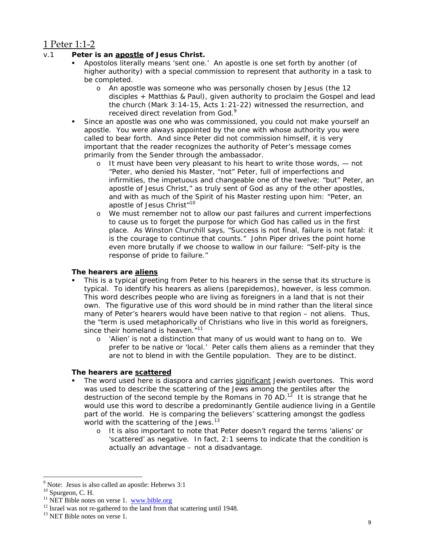## 1 Peter 1:1‐2

### v.1 **Peter is an apostle of Jesus Christ.**

- *Apostolos* literally means 'sent one.' An apostle is one set forth by another (of higher authority) with a special commission to represent that authority in a task to be completed.
	- o An apostle was someone who was personally chosen by Jesus (the 12 disciples + Matthias & Paul), given authority to proclaim the Gospel and lead the church (Mark 3:14-15, Acts 1:21-22) witnessed the resurrection, and received direct revelation from God.<sup>9</sup>
- Since an apostle was one who was commissioned, you could not make yourself an apostle. You were always appointed by the one with whose authority you were called to bear forth. And since Peter did not commission himself, it is very important that the reader recognizes *the authority of Peter's message comes primarily from the Sender through the ambassador.*
	- o It must have been very pleasant to his heart to write those words, not "Peter, who denied his Master, "not" Peter, full of imperfections and infirmities, the impetuous and changeable one of the twelve; "but" Peter, an apostle of Jesus Christ," as truly sent of God as any of the other apostles, and with as much of the Spirit of his Master resting upon him: "Peter, an apostle of Jesus Christ"<sup>10</sup>
	- o We must remember not to allow our past failures and current imperfections to cause us to forget the purpose for which God has called us in the first place. As Winston Churchill says, "Success is not final, failure is not fatal: it is the courage to continue that counts." John Piper drives the point home even more brutally if we choose to wallow in our failure: "Self-pity is the response of pride to failure."

#### **The hearers are aliens**

- This is a typical greeting from Peter to his hearers in the sense that its structure is typical. To identify his hearers as aliens (*parepidemos*), however, is less common. This word describes people who are living as foreigners in a land that is not their own. The figurative use of this word should be in mind rather than the literal since many of Peter's hearers would have been native to that region – not aliens. Thus, the "term is used metaphorically of Christians who live in this world as foreigners, since their homeland is heaven.<sup>"11</sup>
	- o 'Alien' is not a distinction that many of us would want to hang on to. We prefer to be native or 'local.' Peter calls them aliens as a reminder that they are not to blend in with the Gentile population. They are to be distinct.

### **The hearers are scattered**

- The word used here is *diaspora* and carries significant Jewish overtones. This word was used to describe the scattering of the Jews among the gentiles after the destruction of the second temple by the Romans in 70 AD.<sup>12</sup> It is strange that he would use this word to describe a predominantly Gentile audience living in a Gentile part of the world. He is comparing the believers' scattering amongst the godless world with the scattering of the Jews.<sup>13</sup>
	- o It is also important to note that Peter doesn't regard the terms 'aliens' or 'scattered' as negative. In fact, 2:1 seems to indicate that the condition is actually an advantage – not a disadvantage.

<sup>&</sup>lt;sup>9</sup> Note: Jesus is also called an apostle: Hebrews 3:1

 $^{10}$  Spurgeon, C. H.<br> $^{11}$  NET Bible notes on verse 1. www.bible.org

 $12$  Israel was not re-gathered to the land from that scattering until 1948.

<sup>&</sup>lt;sup>13</sup> NET Bible notes on verse 1.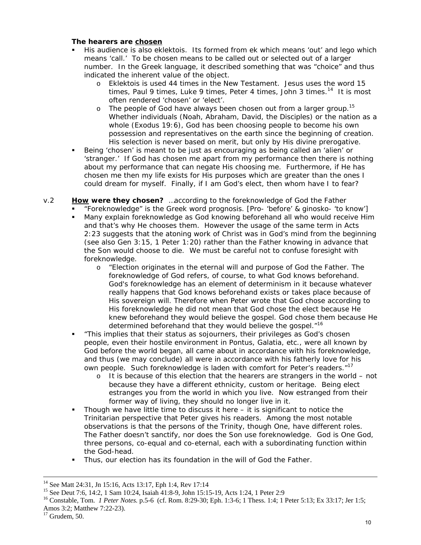#### **The hearers are chosen**

- His audience is also *eklektois*. Its formed from *ek* which means 'out' and *lego* which means 'call.' To be chosen means to be called out or selected out of a larger number. In the Greek language, it described something that was "choice" and thus indicated the *inherent* value of the object.
	- o *Eklektois* is used 44 times in the New Testament. Jesus uses the word 15 times, Paul 9 times, Luke 9 times, Peter 4 times, John 3 times.<sup>14</sup> It is most often rendered 'chosen' or 'elect'.
	- $\circ$  The people of God have always been chosen out from a larger group.<sup>15</sup> Whether individuals (Noah, Abraham, David, the Disciples) or the nation as a whole (Exodus 19:6), God has been choosing people to become his own possession and representatives on the earth since the beginning of creation. His selection is never based on merit, but only by His divine prerogative.
- Being 'chosen' is meant to be just as encouraging as being called an 'alien' or 'stranger.' If God has chosen me apart from my performance then there is nothing about my performance that can negate His choosing me. Furthermore, if He has chosen me then my life exists for His purposes which are greater than the ones I could dream for myself. Finally, if I am God's elect, then whom have I to fear?

#### v.2 **How were they chosen?** …*according to the foreknowledge of God the Father*

- "Foreknowledge" is the Greek word *prognosis.* [*Pro-* 'before' & *ginosko* 'to know']
- Many explain foreknowledge as God knowing beforehand all who would receive Him and that's why He chooses them. However the usage of the same term in Acts 2:23 suggests that the atoning work of Christ was in God's mind from the beginning (see also Gen 3:15, 1 Peter 1:20) rather than the Father knowing in advance that the Son would choose to die. We must be careful not to confuse fore*sight* with fore*knowledge*.
	- o "Election originates in the eternal will and purpose of God the Father. The foreknowledge of God refers, of course, to what God knows beforehand. God's foreknowledge has an element of determinism in it because whatever really happens that God knows beforehand exists or takes place because of His sovereign will. Therefore when Peter wrote that God chose according to His foreknowledge he did not mean that God chose the elect because He *knew* beforehand they would believe the gospel. God chose them because He *determined* beforehand that they would believe the gospel."16
- "This implies that their status as sojourners, their privileges as God's chosen people, even their hostile environment in Pontus, Galatia, etc., were all known by God before the world began, all came about in accordance with his foreknowledge, and thus (we may conclude) all were in accordance with his fatherly love for his own people. Such foreknowledge is laden with comfort for Peter's readers."<sup>17</sup>
	- o It is because of this election that the hearers are strangers in the world not because they have a different ethnicity, custom or heritage. Being elect estranges you from the world in which you live. Now estranged from their former way of living, they should no longer live in it.
- Though we have little time to discuss it here it is significant to notice the Trinitarian perspective that Peter gives his readers. Among the most notable observations is that the persons of the Trinity, though One, have different roles. The Father doesn't sanctify, nor does the Son use foreknowledge. God is One God, three persons, co-equal and co-eternal, each with a subordinating function within the God-head.
- Thus, our election has its foundation in the will of God the Father.

<sup>&</sup>lt;sup>14</sup> See Matt 24:31, Jn 15:16, Acts 13:17, Eph 1:4, Rev 17:14

<sup>15</sup> See Deut 7:6, 14:2, 1 Sam 10:24, Isaiah 41:8-9, John 15:15-19, Acts 1:24, 1 Peter 2:9

<sup>16</sup> Constable, Tom. *1 Peter Notes.* p.5-6 (cf. Rom. 8:29-30; Eph. 1:3-6; 1 Thess. 1:4; 1 Peter 5:13; Ex 33:17; Jer 1:5; Amos 3:2; Matthew 7:22-23).

 $17$  Grudem, 50.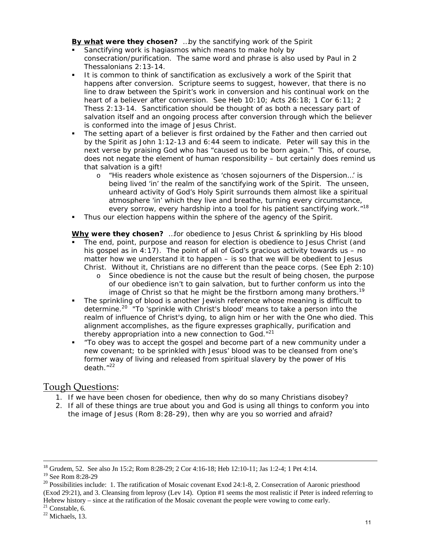#### **By what were they chosen?** *…by the sanctifying work of the Spirit*

- Sanctifying work is *hagiasmos* which means to make holy by consecration/purification. The same word and phrase is also used by Paul in 2 Thessalonians 2:13-14.
- It is common to think of sanctification as exclusively a work of the Spirit that happens after conversion. Scripture seems to suggest, however, that there is no line to draw between the Spirit's work in conversion and his continual work on the heart of a believer after conversion. See Heb 10:10; Acts 26:18; 1 Cor 6:11; 2 Thess 2:13-14. Sanctification should be thought of as both a necessary part of salvation itself and an ongoing process after conversion through which the believer is conformed into the image of Jesus Christ.
- The setting apart of a believer is first ordained by the Father and then carried out by the Spirit as John 1:12-13 and 6:44 seem to indicate. Peter will say this in the next verse by praising God who has "caused us to be born again." This, of course, does not negate the element of human responsibility – but certainly does remind us that salvation is a gift!
	- o "His readers *whole existence* as 'chosen sojourners of the Dispersion…' is being lived 'in' the realm of the sanctifying work of the Spirit. The unseen, unheard activity of God's Holy Spirit surrounds them almost like a spiritual atmosphere 'in' which they live and breathe, turning every circumstance, every sorrow, every hardship into a tool for his patient sanctifying work."<sup>18</sup>
- Thus our election happens within the sphere of the agency of the Spirit.

#### **Why were they chosen?** …*for obedience to Jesus Christ & sprinkling by His blood*

- The end, point, purpose and reason for election is obedience to Jesus Christ (and his gospel as in 4:17). The point of all of God's gracious activity towards us  $-$  no matter how we understand it to happen – is so that we will be obedient to Jesus Christ. Without it, Christians are no different than the peace corps. (See Eph 2:10)
	- o Since obedience is not the cause but the *result* of being chosen, the purpose of our obedience isn't to gain salvation, but to further conform us into the image of Christ so that he might be the firstborn among many brothers.<sup>19</sup>
- The sprinkling of blood is another Jewish reference whose meaning is difficult to determine.20 "To 'sprinkle with Christ's blood' means to take a person into the realm of influence of Christ's dying, to align him or her with the One who died. This alignment accomplishes, as the figure expresses graphically, purification and thereby appropriation into a new connection to God."<sup>21</sup>
- "To obey was to accept the gospel and become part of a new community under a new covenant; to be sprinkled with Jesus' blood was to be cleansed from one's former way of living and released from spiritual slavery by the power of His death."22

## Tough Questions:

- 1. If we have been chosen for obedience, then why do so many Christians disobey?
- 2. If all of these things are true about you and God is using *all* things to conform you into the image of Jesus (Rom 8:28-29), then why are you so worried and afraid?

 <sup>18</sup> Grudem, 52. See also Jn 15:2; Rom 8:28-29; 2 Cor 4:16-18; Heb 12:10-11; Jas 1:2-4; 1 Pet 4:14.

<sup>19</sup> See Rom 8:28-29

<sup>&</sup>lt;sup>20</sup> Possibilities include: 1. The ratification of Mosaic covenant Exod 24:1-8, 2. Consecration of Aaronic priesthood (Exod 29:21), and 3. Cleansing from leprosy (Lev 14). Option #1 seems the most realistic if Peter is indeed referring to Hebrew history – since at the ratification of the Mosaic covenant the people were vowing to come early.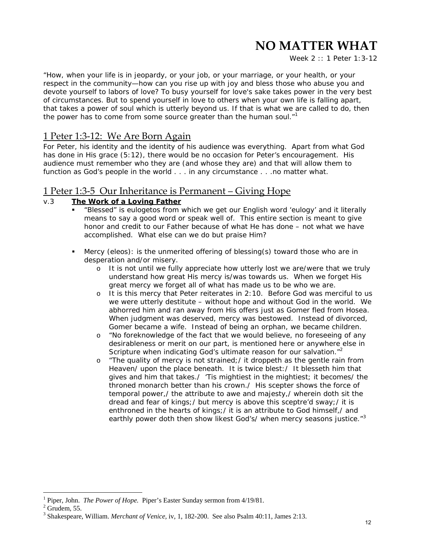Week 2 :: *1 Peter 1:3-12*

"How, when your *life* is in jeopardy, or your job, or your marriage, or your health, or your respect in the community—how can you rise up with joy and bless those who abuse you and devote yourself to labors of love? To busy yourself for love's sake takes power in the very best of circumstances. But to spend yourself in love to others when your own life is falling apart, that takes a power of soul which is utterly beyond us. If that is what we are called to do, then the power has to come from some source greater than the human soul. $<sup>n1</sup>$ </sup>

## 1 Peter 1:3‐12: We Are Born Again

For Peter, his identity and the identity of his audience was *everything*. Apart from what God has done in His grace (5:12), there would be no occasion for Peter's encouragement. His audience must remember who they are (and whose they are) and that will allow them to function as God's people in the world . . . in *any* circumstance . . .*no matter what.*

## 1 Peter 1:3‐5 Our Inheritance is Permanent – Giving Hope

## v.3 **The Work of a Loving Father**

- "Blessed" is *eulogetos* from which we get our English word 'eulogy' and it literally means to say a good word or speak well of. This entire section is meant to give honor and credit to our Father because of what He has done – not what we have accomplished. What else can we do but praise Him?
- Mercy (*eleos*): is the unmerited offering of blessing(s) toward those who are in desperation and/or misery.
	- o It is not until we fully appreciate how utterly lost we are/were that we truly understand how great His mercy is/was towards us. When we forget His great mercy we forget all of what has made us to be who we are.
	- o It is this mercy that Peter reiterates in 2:10. Before God was merciful to us we were utterly destitute – without hope and without God in the world. We abhorred him and ran away from His offers just as Gomer fled from Hosea. When judgment was deserved, mercy was bestowed. Instead of divorced, Gomer became a wife. Instead of being an orphan, we became children.
	- o "No foreknowledge of the fact that we would believe, no foreseeing of any desirableness or merit on our part, is mentioned here or anywhere else in Scripture when indicating God's ultimate reason for our salvation."<sup>2</sup>
	- o "The quality of mercy is not strained;/ it droppeth as the gentle rain from Heaven/ upon the place beneath. It is twice blest:/ It blesseth him that gives and him that takes./ 'Tis mightiest in the mightiest; it becomes/ the throned monarch better than his crown./ His scepter shows the force of temporal power,/ the attribute to awe and majesty,/ wherein doth sit the dread and fear of kings;/ but mercy is above this sceptre'd sway;/ it is enthroned in the hearts of kings;/ it is an attribute to God himself,/ and earthly power doth then show likest God's/ when mercy seasons justice."<sup>3</sup>

<sup>1</sup> Piper, John. *The Power of Hope.* Piper's Easter Sunday sermon from 4/19/81.

 $2$  Grudem, 55.

<sup>3</sup> Shakespeare, William. *Merchant of Venice,* iv, 1, 182-200. See also Psalm 40:11, James 2:13.